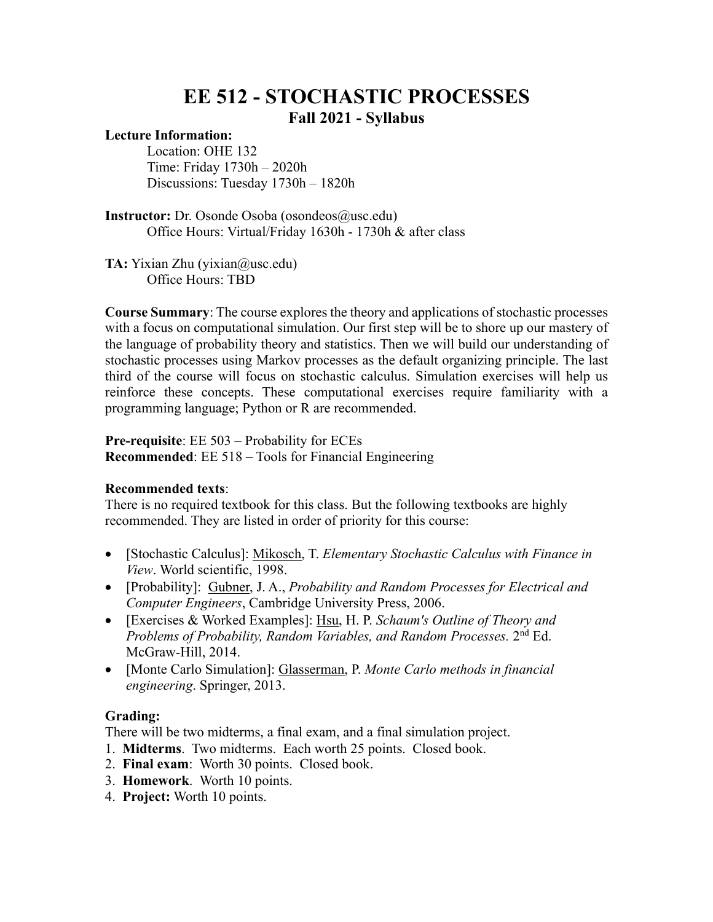## **EE 512 - STOCHASTIC PROCESSES Fall 2021 - Syllabus**

## **Lecture Information:**

Location: OHE 132 Time: Friday 1730h – 2020h Discussions: Tuesday 1730h – 1820h

**Instructor:** Dr. Osonde Osoba (osondeos@usc.edu) Office Hours: Virtual/Friday 1630h - 1730h & after class

**TA:** Yixian Zhu (yixian@usc.edu) Office Hours: TBD

**Course Summary**: The course explores the theory and applications of stochastic processes with a focus on computational simulation. Our first step will be to shore up our mastery of the language of probability theory and statistics. Then we will build our understanding of stochastic processes using Markov processes as the default organizing principle. The last third of the course will focus on stochastic calculus. Simulation exercises will help us reinforce these concepts. These computational exercises require familiarity with a programming language; Python or R are recommended.

**Pre-requisite**: EE 503 – Probability for ECEs **Recommended**: EE 518 – Tools for Financial Engineering

## **Recommended texts**:

There is no required textbook for this class. But the following textbooks are highly recommended. They are listed in order of priority for this course:

- [Stochastic Calculus]: Mikosch, T. *Elementary Stochastic Calculus with Finance in View*. World scientific, 1998.
- [Probability]: Gubner, J. A., *Probability and Random Processes for Electrical and Computer Engineers*, Cambridge University Press, 2006.
- [Exercises & Worked Examples]: Hsu, H. P. *Schaum's Outline of Theory and Problems of Probability, Random Variables, and Random Processes.* 2nd Ed. McGraw-Hill, 2014.
- [Monte Carlo Simulation]: Glasserman, P. *Monte Carlo methods in financial engineering*. Springer, 2013.

## **Grading:**

There will be two midterms, a final exam, and a final simulation project.

- 1. **Midterms**. Two midterms. Each worth 25 points. Closed book.
- 2. **Final exam**: Worth 30 points. Closed book.
- 3. **Homework**. Worth 10 points.
- 4. **Project:** Worth 10 points.